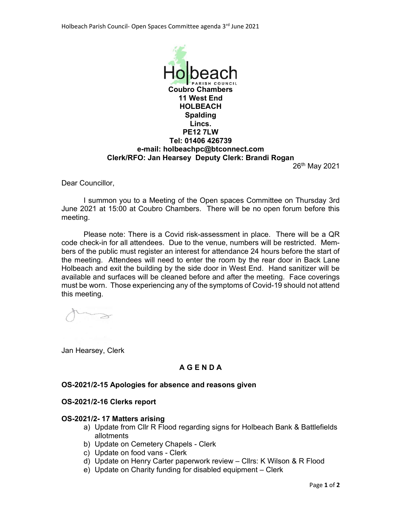

26th May 2021

Dear Councillor,

I summon you to a Meeting of the Open spaces Committee on Thursday 3rd June 2021 at 15:00 at Coubro Chambers. There will be no open forum before this meeting.

Please note: There is a Covid risk-assessment in place. There will be a QR code check-in for all attendees. Due to the venue, numbers will be restricted. Members of the public must register an interest for attendance 24 hours before the start of the meeting. Attendees will need to enter the room by the rear door in Back Lane Holbeach and exit the building by the side door in West End. Hand sanitizer will be available and surfaces will be cleaned before and after the meeting. Face coverings must be worn. Those experiencing any of the symptoms of Covid-19 should not attend this meeting.

Jan Hearsey, Clerk

# A G E N D A

#### OS-2021/2-15 Apologies for absence and reasons given

#### OS-2021/2-16 Clerks report

#### OS-2021/2- 17 Matters arising

- a) Update from Cllr R Flood regarding signs for Holbeach Bank & Battlefields allotments
- b) Update on Cemetery Chapels Clerk
- c) Update on food vans Clerk
- d) Update on Henry Carter paperwork review Cllrs: K Wilson & R Flood
- e) Update on Charity funding for disabled equipment Clerk